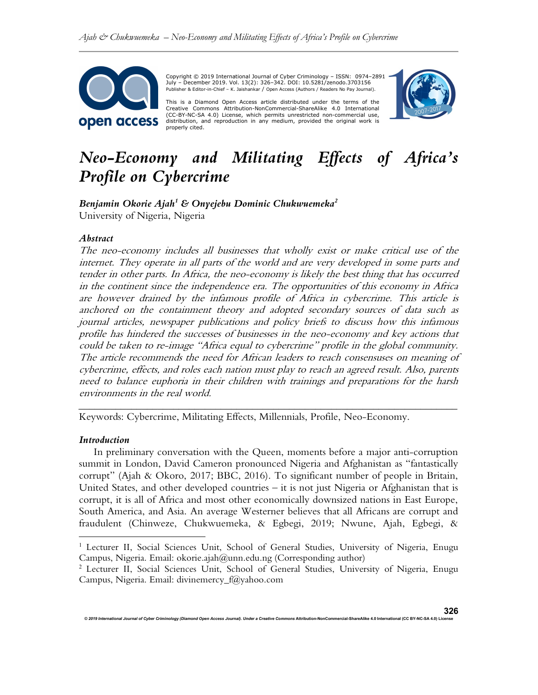

 Copyright © 2019 International Journal of Cyber Criminology – ISSN: 0974–2891 July – December 2019. Vol. 13(2): 326–342. DOI: 10.5281/zenodo.3703156 Publisher & Editor-in-Chief – K. Jaishankar / Open Access (Authors / Readers No Pay Journal).

This is a Diamond Open Access article distributed under the terms of the Creative Commons Attribution-NonCommercial-ShareAlike 4.0 International (CC-BY-NC-SA 4.0) License, which permits unrestricted non-commercial use, distribution, and reproduction in any medium, provided the original work is properly cited.



# Neo-Economy and Militating Effects of Africa's Profile on Cybercrime

Benjamin Okorie Ajah $^1$  & Onyejebu Dominic Chukwuemeka $^2$ University of Nigeria, Nigeria

#### Abstract

The neo-economy includes all businesses that wholly exist or make critical use of the internet. They operate in all parts of the world and are very developed in some parts and tender in other parts. In Africa, the neo-economy is likely the best thing that has occurred in the continent since the independence era. The opportunities of this economy in Africa are however drained by the infamous profile of Africa in cybercrime. This article is anchored on the containment theory and adopted secondary sources of data such as journal articles, newspaper publications and policy briefs to discuss how this infamous profile has hindered the successes of businesses in the neo-economy and key actions that could be taken to re-image "Africa equal to cybercrime" profile in the global community. The article recommends the need for African leaders to reach consensuses on meaning of cybercrime, effects, and roles each nation must play to reach an agreed result. Also, parents need to balance euphoria in their children with trainings and preparations for the harsh environments in the real world.

Keywords: Cybercrime, Militating Effects, Millennials, Profile, Neo-Economy.

#### Introduction

 In preliminary conversation with the Queen, moments before a major anti-corruption summit in London, David Cameron pronounced Nigeria and Afghanistan as "fantastically corrupt" (Ajah & Okoro, 2017; BBC, 2016). To significant number of people in Britain, United States, and other developed countries – it is not just Nigeria or Afghanistan that is corrupt, it is all of Africa and most other economically downsized nations in East Europe, South America, and Asia. An average Westerner believes that all Africans are corrupt and fraudulent (Chinweze, Chukwuemeka, & Egbegi, 2019; Nwune, Ajah, Egbegi, &

\_\_\_\_\_\_\_\_\_\_\_\_\_\_\_\_\_\_\_\_\_\_\_\_\_\_\_\_\_\_\_\_\_\_\_\_\_\_\_\_\_\_\_\_\_\_\_\_\_\_\_\_\_\_\_\_\_\_\_\_\_\_\_\_\_\_\_\_\_\_\_\_

onal Journal of Cyber Criminology (Diamond Open Access Journal). Under a Creative Commons Attribution-NonCommercial-ShareAlike 4.0 International (CC BY-NC-SA 4.0)

326

<sup>&</sup>lt;sup>1</sup> Lecturer II, Social Sciences Unit, School of General Studies, University of Nigeria, Enugu Campus, Nigeria. Email: okorie.ajah@unn.edu.ng (Corresponding author)

<sup>2</sup> Lecturer II, Social Sciences Unit, School of General Studies, University of Nigeria, Enugu Campus, Nigeria. Email: divinemercy\_f@yahoo.com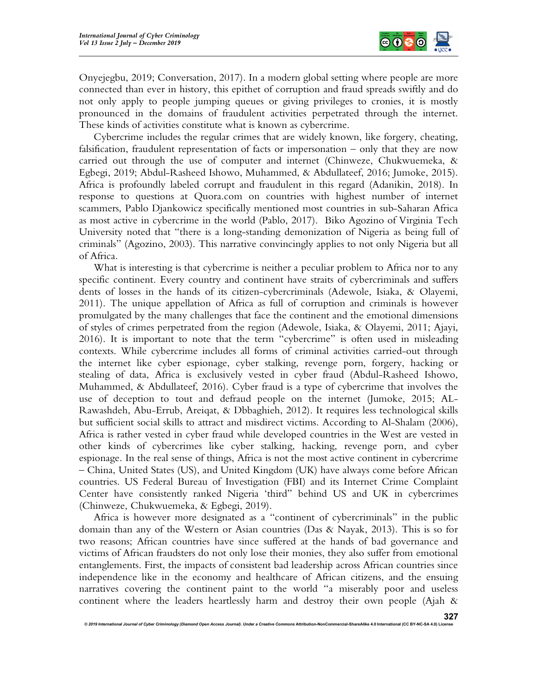

Onyejegbu, 2019; Conversation, 2017). In a modern global setting where people are more connected than ever in history, this epithet of corruption and fraud spreads swiftly and do not only apply to people jumping queues or giving privileges to cronies, it is mostly pronounced in the domains of fraudulent activities perpetrated through the internet. These kinds of activities constitute what is known as cybercrime.

 Cybercrime includes the regular crimes that are widely known, like forgery, cheating, falsification, fraudulent representation of facts or impersonation – only that they are now carried out through the use of computer and internet (Chinweze, Chukwuemeka, & Egbegi, 2019; Abdul-Rasheed Ishowo, Muhammed, & Abdullateef, 2016; Jumoke, 2015). Africa is profoundly labeled corrupt and fraudulent in this regard (Adanikin, 2018). In response to questions at Quora.com on countries with highest number of internet scammers, Pablo Djankowicz specifically mentioned most countries in sub-Saharan Africa as most active in cybercrime in the world (Pablo, 2017). Biko Agozino of Virginia Tech University noted that "there is a long-standing demonization of Nigeria as being full of criminals" (Agozino, 2003). This narrative convincingly applies to not only Nigeria but all of Africa.

 What is interesting is that cybercrime is neither a peculiar problem to Africa nor to any specific continent. Every country and continent have straits of cybercriminals and suffers dents of losses in the hands of its citizen-cybercriminals (Adewole, Isiaka, & Olayemi, 2011). The unique appellation of Africa as full of corruption and criminals is however promulgated by the many challenges that face the continent and the emotional dimensions of styles of crimes perpetrated from the region (Adewole, Isiaka, & Olayemi, 2011; Ajayi, 2016). It is important to note that the term "cybercrime" is often used in misleading contexts. While cybercrime includes all forms of criminal activities carried-out through the internet like cyber espionage, cyber stalking, revenge porn, forgery, hacking or stealing of data, Africa is exclusively vested in cyber fraud (Abdul-Rasheed Ishowo, Muhammed, & Abdullateef, 2016). Cyber fraud is a type of cybercrime that involves the use of deception to tout and defraud people on the internet (Jumoke, 2015; AL-Rawashdeh, Abu-Errub, Areiqat, & Dbbaghieh, 2012). It requires less technological skills but sufficient social skills to attract and misdirect victims. According to Al-Shalam (2006), Africa is rather vested in cyber fraud while developed countries in the West are vested in other kinds of cybercrimes like cyber stalking, hacking, revenge porn, and cyber espionage. In the real sense of things, Africa is not the most active continent in cybercrime – China, United States (US), and United Kingdom (UK) have always come before African countries. US Federal Bureau of Investigation (FBI) and its Internet Crime Complaint Center have consistently ranked Nigeria 'third" behind US and UK in cybercrimes (Chinweze, Chukwuemeka, & Egbegi, 2019).

 Africa is however more designated as a "continent of cybercriminals" in the public domain than any of the Western or Asian countries (Das & Nayak, 2013). This is so for two reasons; African countries have since suffered at the hands of bad governance and victims of African fraudsters do not only lose their monies, they also suffer from emotional entanglements. First, the impacts of consistent bad leadership across African countries since independence like in the economy and healthcare of African citizens, and the ensuing narratives covering the continent paint to the world "a miserably poor and useless continent where the leaders heartlessly harm and destroy their own people (Ajah &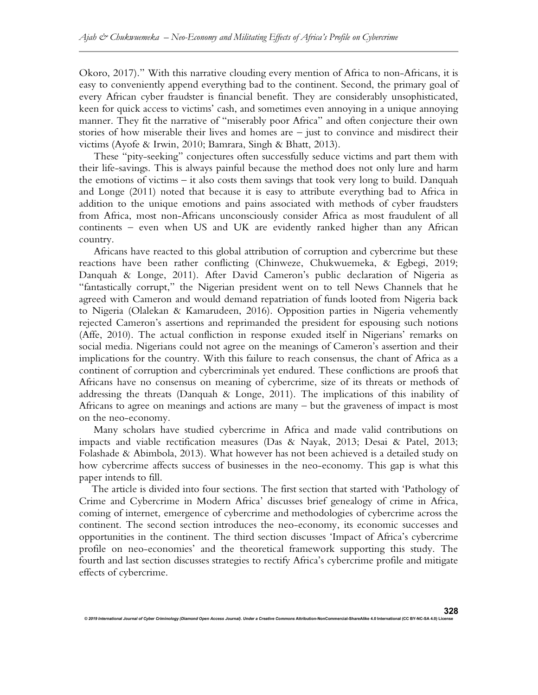Okoro, 2017)." With this narrative clouding every mention of Africa to non-Africans, it is easy to conveniently append everything bad to the continent. Second, the primary goal of every African cyber fraudster is financial benefit. They are considerably unsophisticated, keen for quick access to victims' cash, and sometimes even annoying in a unique annoying manner. They fit the narrative of "miserably poor Africa" and often conjecture their own stories of how miserable their lives and homes are – just to convince and misdirect their victims (Ayofe & Irwin, 2010; Bamrara, Singh & Bhatt, 2013).

 These "pity-seeking" conjectures often successfully seduce victims and part them with their life-savings. This is always painful because the method does not only lure and harm the emotions of victims – it also costs them savings that took very long to build. Danquah and Longe (2011) noted that because it is easy to attribute everything bad to Africa in addition to the unique emotions and pains associated with methods of cyber fraudsters from Africa, most non-Africans unconsciously consider Africa as most fraudulent of all continents – even when US and UK are evidently ranked higher than any African country.

 Africans have reacted to this global attribution of corruption and cybercrime but these reactions have been rather conflicting (Chinweze, Chukwuemeka, & Egbegi, 2019; Danquah & Longe, 2011). After David Cameron's public declaration of Nigeria as "fantastically corrupt," the Nigerian president went on to tell News Channels that he agreed with Cameron and would demand repatriation of funds looted from Nigeria back to Nigeria (Olalekan & Kamarudeen, 2016). Opposition parties in Nigeria vehemently rejected Cameron's assertions and reprimanded the president for espousing such notions (Affe, 2010). The actual confliction in response exuded itself in Nigerians' remarks on social media. Nigerians could not agree on the meanings of Cameron's assertion and their implications for the country. With this failure to reach consensus, the chant of Africa as a continent of corruption and cybercriminals yet endured. These conflictions are proofs that Africans have no consensus on meaning of cybercrime, size of its threats or methods of addressing the threats (Danquah & Longe, 2011). The implications of this inability of Africans to agree on meanings and actions are many – but the graveness of impact is most on the neo-economy.

 Many scholars have studied cybercrime in Africa and made valid contributions on impacts and viable rectification measures (Das & Nayak, 2013; Desai & Patel, 2013; Folashade & Abimbola, 2013). What however has not been achieved is a detailed study on how cybercrime affects success of businesses in the neo-economy. This gap is what this paper intends to fill.

The article is divided into four sections. The first section that started with 'Pathology of Crime and Cybercrime in Modern Africa' discusses brief genealogy of crime in Africa, coming of internet, emergence of cybercrime and methodologies of cybercrime across the continent. The second section introduces the neo-economy, its economic successes and opportunities in the continent. The third section discusses 'Impact of Africa's cybercrime profile on neo-economies' and the theoretical framework supporting this study. The fourth and last section discusses strategies to rectify Africa's cybercrime profile and mitigate effects of cybercrime.

© 2019 International Journal of Cyber Criminology (Diamond Open Access Journal). Under a Creative Con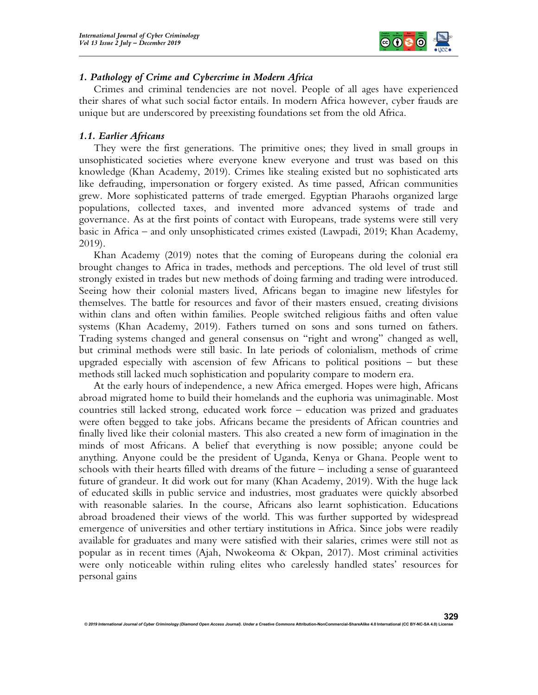

329

# 1. Pathology of Crime and Cybercrime in Modern Africa

 Crimes and criminal tendencies are not novel. People of all ages have experienced their shares of what such social factor entails. In modern Africa however, cyber frauds are unique but are underscored by preexisting foundations set from the old Africa.

## 1.1. Earlier Africans

 They were the first generations. The primitive ones; they lived in small groups in unsophisticated societies where everyone knew everyone and trust was based on this knowledge (Khan Academy, 2019). Crimes like stealing existed but no sophisticated arts like defrauding, impersonation or forgery existed. As time passed, African communities grew. More sophisticated patterns of trade emerged. Egyptian Pharaohs organized large populations, collected taxes, and invented more advanced systems of trade and governance. As at the first points of contact with Europeans, trade systems were still very basic in Africa – and only unsophisticated crimes existed (Lawpadi, 2019; Khan Academy, 2019).

 Khan Academy (2019) notes that the coming of Europeans during the colonial era brought changes to Africa in trades, methods and perceptions. The old level of trust still strongly existed in trades but new methods of doing farming and trading were introduced. Seeing how their colonial masters lived, Africans began to imagine new lifestyles for themselves. The battle for resources and favor of their masters ensued, creating divisions within clans and often within families. People switched religious faiths and often value systems (Khan Academy, 2019). Fathers turned on sons and sons turned on fathers. Trading systems changed and general consensus on "right and wrong" changed as well, but criminal methods were still basic. In late periods of colonialism, methods of crime upgraded especially with ascension of few Africans to political positions – but these methods still lacked much sophistication and popularity compare to modern era.

 At the early hours of independence, a new Africa emerged. Hopes were high, Africans abroad migrated home to build their homelands and the euphoria was unimaginable. Most countries still lacked strong, educated work force – education was prized and graduates were often begged to take jobs. Africans became the presidents of African countries and finally lived like their colonial masters. This also created a new form of imagination in the minds of most Africans. A belief that everything is now possible; anyone could be anything. Anyone could be the president of Uganda, Kenya or Ghana. People went to schools with their hearts filled with dreams of the future – including a sense of guaranteed future of grandeur. It did work out for many (Khan Academy, 2019). With the huge lack of educated skills in public service and industries, most graduates were quickly absorbed with reasonable salaries. In the course, Africans also learnt sophistication. Educations abroad broadened their views of the world. This was further supported by widespread emergence of universities and other tertiary institutions in Africa. Since jobs were readily available for graduates and many were satisfied with their salaries, crimes were still not as popular as in recent times (Ajah, Nwokeoma & Okpan, 2017). Most criminal activities were only noticeable within ruling elites who carelessly handled states' resources for personal gains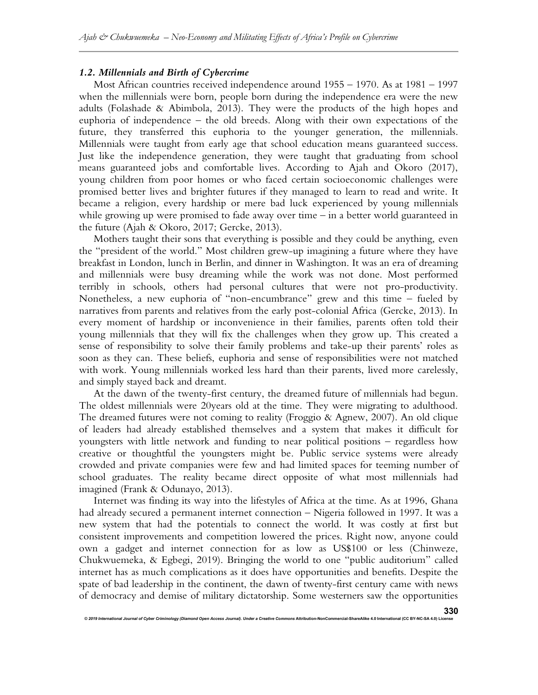## 1.2. Millennials and Birth of Cybercrime

 Most African countries received independence around 1955 – 1970. As at 1981 – 1997 when the millennials were born, people born during the independence era were the new adults (Folashade & Abimbola, 2013). They were the products of the high hopes and euphoria of independence – the old breeds. Along with their own expectations of the future, they transferred this euphoria to the younger generation, the millennials. Millennials were taught from early age that school education means guaranteed success. Just like the independence generation, they were taught that graduating from school means guaranteed jobs and comfortable lives. According to Ajah and Okoro (2017), young children from poor homes or who faced certain socioeconomic challenges were promised better lives and brighter futures if they managed to learn to read and write. It became a religion, every hardship or mere bad luck experienced by young millennials while growing up were promised to fade away over time – in a better world guaranteed in the future (Ajah & Okoro, 2017; Gercke, 2013).

 Mothers taught their sons that everything is possible and they could be anything, even the "president of the world." Most children grew-up imagining a future where they have breakfast in London, lunch in Berlin, and dinner in Washington. It was an era of dreaming and millennials were busy dreaming while the work was not done. Most performed terribly in schools, others had personal cultures that were not pro-productivity. Nonetheless, a new euphoria of "non-encumbrance" grew and this time – fueled by narratives from parents and relatives from the early post-colonial Africa (Gercke, 2013). In every moment of hardship or inconvenience in their families, parents often told their young millennials that they will fix the challenges when they grow up. This created a sense of responsibility to solve their family problems and take-up their parents' roles as soon as they can. These beliefs, euphoria and sense of responsibilities were not matched with work. Young millennials worked less hard than their parents, lived more carelessly, and simply stayed back and dreamt.

 At the dawn of the twenty-first century, the dreamed future of millennials had begun. The oldest millennials were 20years old at the time. They were migrating to adulthood. The dreamed futures were not coming to reality (Froggio & Agnew, 2007). An old clique of leaders had already established themselves and a system that makes it difficult for youngsters with little network and funding to near political positions – regardless how creative or thoughtful the youngsters might be. Public service systems were already crowded and private companies were few and had limited spaces for teeming number of school graduates. The reality became direct opposite of what most millennials had imagined (Frank & Odunayo, 2013).

 Internet was finding its way into the lifestyles of Africa at the time. As at 1996, Ghana had already secured a permanent internet connection – Nigeria followed in 1997. It was a new system that had the potentials to connect the world. It was costly at first but consistent improvements and competition lowered the prices. Right now, anyone could own a gadget and internet connection for as low as US\$100 or less (Chinweze, Chukwuemeka, & Egbegi, 2019). Bringing the world to one "public auditorium" called internet has as much complications as it does have opportunities and benefits. Despite the spate of bad leadership in the continent, the dawn of twenty-first century came with news of democracy and demise of military dictatorship. Some westerners saw the opportunities

© 2019 International Journal of Cyber Criminology (Diamond Open Access Journal). Under a Creative Com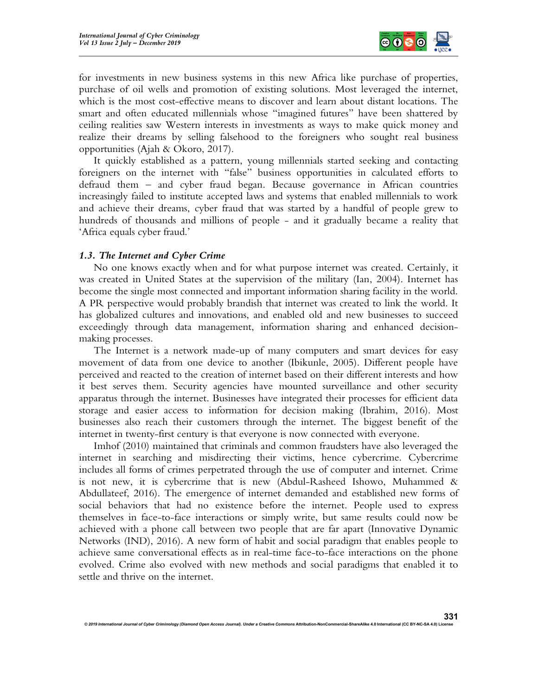

331

for investments in new business systems in this new Africa like purchase of properties, purchase of oil wells and promotion of existing solutions. Most leveraged the internet, which is the most cost-effective means to discover and learn about distant locations. The smart and often educated millennials whose "imagined futures" have been shattered by ceiling realities saw Western interests in investments as ways to make quick money and realize their dreams by selling falsehood to the foreigners who sought real business opportunities (Ajah & Okoro, 2017).

 It quickly established as a pattern, young millennials started seeking and contacting foreigners on the internet with "false" business opportunities in calculated efforts to defraud them – and cyber fraud began. Because governance in African countries increasingly failed to institute accepted laws and systems that enabled millennials to work and achieve their dreams, cyber fraud that was started by a handful of people grew to hundreds of thousands and millions of people - and it gradually became a reality that 'Africa equals cyber fraud.'

#### 1.3. The Internet and Cyber Crime

 No one knows exactly when and for what purpose internet was created. Certainly, it was created in United States at the supervision of the military (Ian, 2004). Internet has become the single most connected and important information sharing facility in the world. A PR perspective would probably brandish that internet was created to link the world. It has globalized cultures and innovations, and enabled old and new businesses to succeed exceedingly through data management, information sharing and enhanced decisionmaking processes.

 The Internet is a network made-up of many computers and smart devices for easy movement of data from one device to another (Ibikunle, 2005). Different people have perceived and reacted to the creation of internet based on their different interests and how it best serves them. Security agencies have mounted surveillance and other security apparatus through the internet. Businesses have integrated their processes for efficient data storage and easier access to information for decision making (Ibrahim, 2016). Most businesses also reach their customers through the internet. The biggest benefit of the internet in twenty-first century is that everyone is now connected with everyone.

 Imhof (2010) maintained that criminals and common fraudsters have also leveraged the internet in searching and misdirecting their victims, hence cybercrime. Cybercrime includes all forms of crimes perpetrated through the use of computer and internet. Crime is not new, it is cybercrime that is new (Abdul-Rasheed Ishowo, Muhammed & Abdullateef, 2016). The emergence of internet demanded and established new forms of social behaviors that had no existence before the internet. People used to express themselves in face-to-face interactions or simply write, but same results could now be achieved with a phone call between two people that are far apart (Innovative Dynamic Networks (IND), 2016). A new form of habit and social paradigm that enables people to achieve same conversational effects as in real-time face-to-face interactions on the phone evolved. Crime also evolved with new methods and social paradigms that enabled it to settle and thrive on the internet.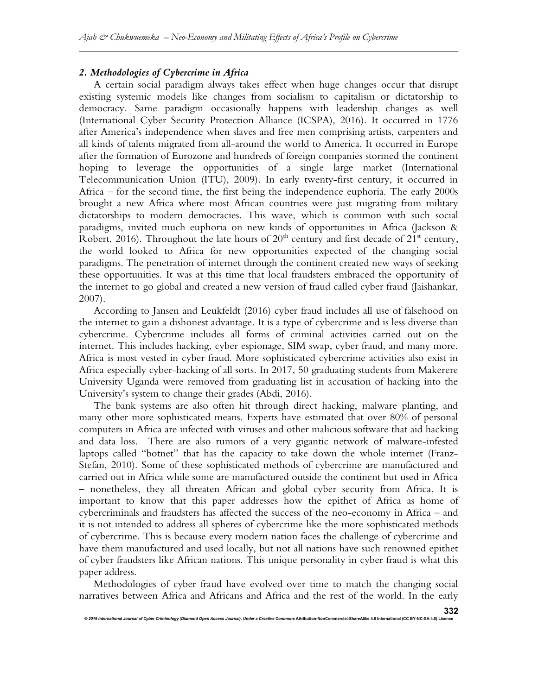# 2. Methodologies of Cybercrime in Africa

 A certain social paradigm always takes effect when huge changes occur that disrupt existing systemic models like changes from socialism to capitalism or dictatorship to democracy. Same paradigm occasionally happens with leadership changes as well (International Cyber Security Protection Alliance (ICSPA), 2016). It occurred in 1776 after America's independence when slaves and free men comprising artists, carpenters and all kinds of talents migrated from all-around the world to America. It occurred in Europe after the formation of Eurozone and hundreds of foreign companies stormed the continent hoping to leverage the opportunities of a single large market (International Telecommunication Union (ITU), 2009). In early twenty-first century, it occurred in Africa – for the second time, the first being the independence euphoria. The early 2000s brought a new Africa where most African countries were just migrating from military dictatorships to modern democracies. This wave, which is common with such social paradigms, invited much euphoria on new kinds of opportunities in Africa (Jackson & Robert, 2016). Throughout the late hours of  $20<sup>th</sup>$  century and first decade of  $21<sup>st</sup>$  century, the world looked to Africa for new opportunities expected of the changing social paradigms. The penetration of internet through the continent created new ways of seeking these opportunities. It was at this time that local fraudsters embraced the opportunity of the internet to go global and created a new version of fraud called cyber fraud (Jaishankar, 2007).

 According to Jansen and Leukfeldt (2016) cyber fraud includes all use of falsehood on the internet to gain a dishonest advantage. It is a type of cybercrime and is less diverse than cybercrime. Cybercrime includes all forms of criminal activities carried out on the internet. This includes hacking, cyber espionage, SIM swap, cyber fraud, and many more. Africa is most vested in cyber fraud. More sophisticated cybercrime activities also exist in Africa especially cyber-hacking of all sorts. In 2017, 50 graduating students from Makerere University Uganda were removed from graduating list in accusation of hacking into the University's system to change their grades (Abdi, 2016).

 The bank systems are also often hit through direct hacking, malware planting, and many other more sophisticated means. Experts have estimated that over 80% of personal computers in Africa are infected with viruses and other malicious software that aid hacking and data loss. There are also rumors of a very gigantic network of malware-infested laptops called "botnet" that has the capacity to take down the whole internet (Franz-Stefan, 2010). Some of these sophisticated methods of cybercrime are manufactured and carried out in Africa while some are manufactured outside the continent but used in Africa – nonetheless, they all threaten African and global cyber security from Africa. It is important to know that this paper addresses how the epithet of Africa as home of cybercriminals and fraudsters has affected the success of the neo-economy in Africa – and it is not intended to address all spheres of cybercrime like the more sophisticated methods of cybercrime. This is because every modern nation faces the challenge of cybercrime and have them manufactured and used locally, but not all nations have such renowned epithet of cyber fraudsters like African nations. This unique personality in cyber fraud is what this paper address.

 Methodologies of cyber fraud have evolved over time to match the changing social narratives between Africa and Africans and Africa and the rest of the world. In the early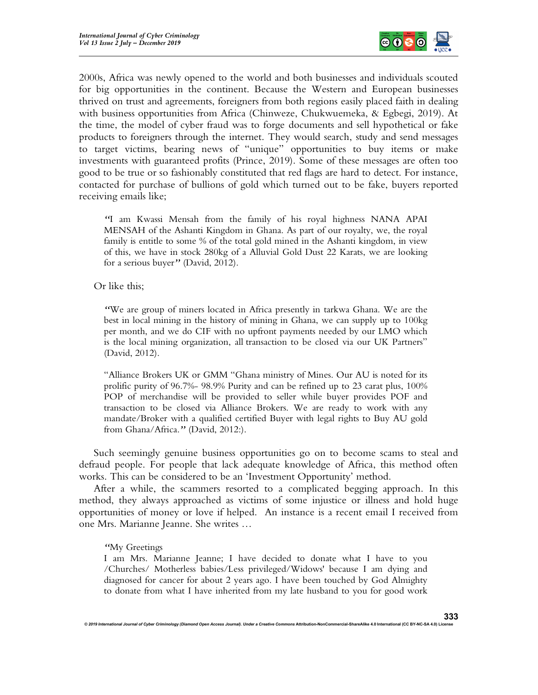

2000s, Africa was newly opened to the world and both businesses and individuals scouted for big opportunities in the continent. Because the Western and European businesses thrived on trust and agreements, foreigners from both regions easily placed faith in dealing with business opportunities from Africa (Chinweze, Chukwuemeka, & Egbegi, 2019). At the time, the model of cyber fraud was to forge documents and sell hypothetical or fake products to foreigners through the internet. They would search, study and send messages to target victims, bearing news of "unique" opportunities to buy items or make investments with guaranteed profits (Prince, 2019). Some of these messages are often too good to be true or so fashionably constituted that red flags are hard to detect. For instance, contacted for purchase of bullions of gold which turned out to be fake, buyers reported receiving emails like;

"I am Kwassi Mensah from the family of his royal highness NANA APAI MENSAH of the Ashanti Kingdom in Ghana. As part of our royalty, we, the royal family is entitle to some % of the total gold mined in the Ashanti kingdom, in view of this, we have in stock 280kg of a Alluvial Gold Dust 22 Karats, we are looking for a serious buyer" (David, 2012).

Or like this;

"We are group of miners located in Africa presently in tarkwa Ghana. We are the best in local mining in the history of mining in Ghana, we can supply up to 100kg per month, and we do CIF with no upfront payments needed by our LMO which is the local mining organization, all transaction to be closed via our UK Partners" (David, 2012).

"Alliance Brokers UK or GMM "Ghana ministry of Mines. Our AU is noted for its prolific purity of 96.7%- 98.9% Purity and can be refined up to 23 carat plus, 100% POP of merchandise will be provided to seller while buyer provides POF and transaction to be closed via Alliance Brokers. We are ready to work with any mandate/Broker with a qualified certified Buyer with legal rights to Buy AU gold from Ghana/Africa." (David, 2012:).

 Such seemingly genuine business opportunities go on to become scams to steal and defraud people. For people that lack adequate knowledge of Africa, this method often works. This can be considered to be an 'Investment Opportunity' method.

 After a while, the scammers resorted to a complicated begging approach. In this method, they always approached as victims of some injustice or illness and hold huge opportunities of money or love if helped. An instance is a recent email I received from one Mrs. Marianne Jeanne. She writes …

#### "My Greetings

I am Mrs. Marianne Jeanne; I have decided to donate what I have to you /Churches/ Motherless babies/Less privileged/Widows' because I am dying and diagnosed for cancer for about 2 years ago. I have been touched by God Almighty to donate from what I have inherited from my late husband to you for good work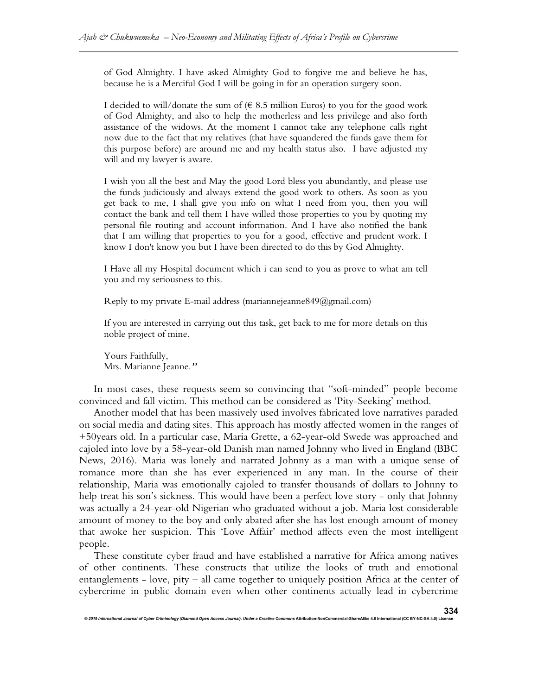of God Almighty. I have asked Almighty God to forgive me and believe he has, because he is a Merciful God I will be going in for an operation surgery soon.

I decided to will/donate the sum of  $(6, 8.5, 1)$  million Euros) to you for the good work of God Almighty, and also to help the motherless and less privilege and also forth assistance of the widows. At the moment I cannot take any telephone calls right now due to the fact that my relatives (that have squandered the funds gave them for this purpose before) are around me and my health status also. I have adjusted my will and my lawyer is aware.

I wish you all the best and May the good Lord bless you abundantly, and please use the funds judiciously and always extend the good work to others. As soon as you get back to me, I shall give you info on what I need from you, then you will contact the bank and tell them I have willed those properties to you by quoting my personal file routing and account information. And I have also notified the bank that I am willing that properties to you for a good, effective and prudent work. I know I don't know you but I have been directed to do this by God Almighty.

I Have all my Hospital document which i can send to you as prove to what am tell you and my seriousness to this.

Reply to my private E-mail address (mariannejeanne849@gmail.com)

If you are interested in carrying out this task, get back to me for more details on this noble project of mine.

Yours Faithfully, Mrs. Marianne Jeanne."

© 2019 International Journal of Cyber Criminology (Diamond Open Access Journal). Under a Creative Con

 In most cases, these requests seem so convincing that "soft-minded" people become convinced and fall victim. This method can be considered as 'Pity-Seeking' method.

 Another model that has been massively used involves fabricated love narratives paraded on social media and dating sites. This approach has mostly affected women in the ranges of +50years old. In a particular case, Maria Grette, a 62-year-old Swede was approached and cajoled into love by a 58-year-old Danish man named Johnny who lived in England (BBC News, 2016). Maria was lonely and narrated Johnny as a man with a unique sense of romance more than she has ever experienced in any man. In the course of their relationship, Maria was emotionally cajoled to transfer thousands of dollars to Johnny to help treat his son's sickness. This would have been a perfect love story - only that Johnny was actually a 24-year-old Nigerian who graduated without a job. Maria lost considerable amount of money to the boy and only abated after she has lost enough amount of money that awoke her suspicion. This 'Love Affair' method affects even the most intelligent people.

 These constitute cyber fraud and have established a narrative for Africa among natives of other continents. These constructs that utilize the looks of truth and emotional entanglements - love, pity – all came together to uniquely position Africa at the center of cybercrime in public domain even when other continents actually lead in cybercrime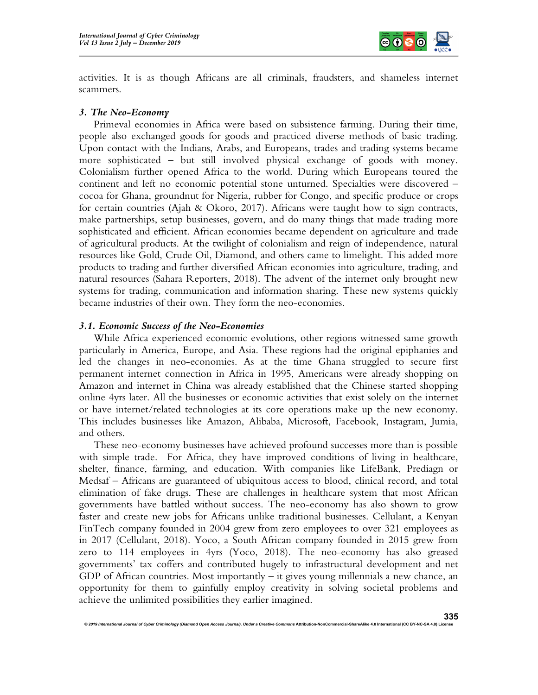

activities. It is as though Africans are all criminals, fraudsters, and shameless internet scammers.

## 3. The Neo-Economy

 Primeval economies in Africa were based on subsistence farming. During their time, people also exchanged goods for goods and practiced diverse methods of basic trading. Upon contact with the Indians, Arabs, and Europeans, trades and trading systems became more sophisticated – but still involved physical exchange of goods with money. Colonialism further opened Africa to the world. During which Europeans toured the continent and left no economic potential stone unturned. Specialties were discovered – cocoa for Ghana, groundnut for Nigeria, rubber for Congo, and specific produce or crops for certain countries (Ajah & Okoro, 2017). Africans were taught how to sign contracts, make partnerships, setup businesses, govern, and do many things that made trading more sophisticated and efficient. African economies became dependent on agriculture and trade of agricultural products. At the twilight of colonialism and reign of independence, natural resources like Gold, Crude Oil, Diamond, and others came to limelight. This added more products to trading and further diversified African economies into agriculture, trading, and natural resources (Sahara Reporters, 2018). The advent of the internet only brought new systems for trading, communication and information sharing. These new systems quickly became industries of their own. They form the neo-economies.

## 3.1. Economic Success of the Neo-Economies

 While Africa experienced economic evolutions, other regions witnessed same growth particularly in America, Europe, and Asia. These regions had the original epiphanies and led the changes in neo-economies. As at the time Ghana struggled to secure first permanent internet connection in Africa in 1995, Americans were already shopping on Amazon and internet in China was already established that the Chinese started shopping online 4yrs later. All the businesses or economic activities that exist solely on the internet or have internet/related technologies at its core operations make up the new economy. This includes businesses like Amazon, Alibaba, Microsoft, Facebook, Instagram, Jumia, and others.

 These neo-economy businesses have achieved profound successes more than is possible with simple trade. For Africa, they have improved conditions of living in healthcare, shelter, finance, farming, and education. With companies like LifeBank, Prediagn or Medsaf – Africans are guaranteed of ubiquitous access to blood, clinical record, and total elimination of fake drugs. These are challenges in healthcare system that most African governments have battled without success. The neo-economy has also shown to grow faster and create new jobs for Africans unlike traditional businesses. Cellulant, a Kenyan FinTech company founded in 2004 grew from zero employees to over 321 employees as in 2017 (Cellulant, 2018). Yoco, a South African company founded in 2015 grew from zero to 114 employees in 4yrs (Yoco, 2018). The neo-economy has also greased governments' tax coffers and contributed hugely to infrastructural development and net GDP of African countries. Most importantly – it gives young millennials a new chance, an opportunity for them to gainfully employ creativity in solving societal problems and achieve the unlimited possibilities they earlier imagined.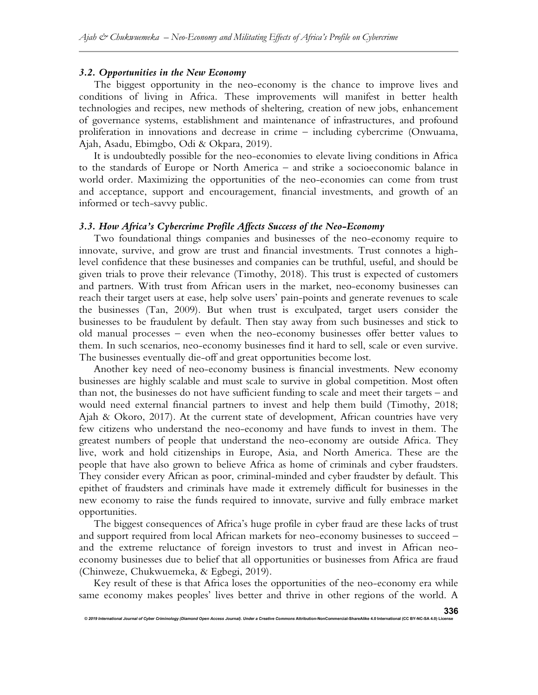#### 3.2. Opportunities in the New Economy

 The biggest opportunity in the neo-economy is the chance to improve lives and conditions of living in Africa. These improvements will manifest in better health technologies and recipes, new methods of sheltering, creation of new jobs, enhancement of governance systems, establishment and maintenance of infrastructures, and profound proliferation in innovations and decrease in crime – including cybercrime (Onwuama, Ajah, Asadu, Ebimgbo, Odi & Okpara, 2019).

 It is undoubtedly possible for the neo-economies to elevate living conditions in Africa to the standards of Europe or North America – and strike a socioeconomic balance in world order. Maximizing the opportunities of the neo-economies can come from trust and acceptance, support and encouragement, financial investments, and growth of an informed or tech-savvy public.

#### 3.3. How Africa's Cybercrime Profile Affects Success of the Neo-Economy

 Two foundational things companies and businesses of the neo-economy require to innovate, survive, and grow are trust and financial investments. Trust connotes a highlevel confidence that these businesses and companies can be truthful, useful, and should be given trials to prove their relevance (Timothy, 2018). This trust is expected of customers and partners. With trust from African users in the market, neo-economy businesses can reach their target users at ease, help solve users' pain-points and generate revenues to scale the businesses (Tan, 2009). But when trust is exculpated, target users consider the businesses to be fraudulent by default. Then stay away from such businesses and stick to old manual processes – even when the neo-economy businesses offer better values to them. In such scenarios, neo-economy businesses find it hard to sell, scale or even survive. The businesses eventually die-off and great opportunities become lost.

 Another key need of neo-economy business is financial investments. New economy businesses are highly scalable and must scale to survive in global competition. Most often than not, the businesses do not have sufficient funding to scale and meet their targets – and would need external financial partners to invest and help them build (Timothy, 2018; Ajah & Okoro, 2017). At the current state of development, African countries have very few citizens who understand the neo-economy and have funds to invest in them. The greatest numbers of people that understand the neo-economy are outside Africa. They live, work and hold citizenships in Europe, Asia, and North America. These are the people that have also grown to believe Africa as home of criminals and cyber fraudsters. They consider every African as poor, criminal-minded and cyber fraudster by default. This epithet of fraudsters and criminals have made it extremely difficult for businesses in the new economy to raise the funds required to innovate, survive and fully embrace market opportunities.

 The biggest consequences of Africa's huge profile in cyber fraud are these lacks of trust and support required from local African markets for neo-economy businesses to succeed – and the extreme reluctance of foreign investors to trust and invest in African neoeconomy businesses due to belief that all opportunities or businesses from Africa are fraud (Chinweze, Chukwuemeka, & Egbegi, 2019).

 Key result of these is that Africa loses the opportunities of the neo-economy era while same economy makes peoples' lives better and thrive in other regions of the world. A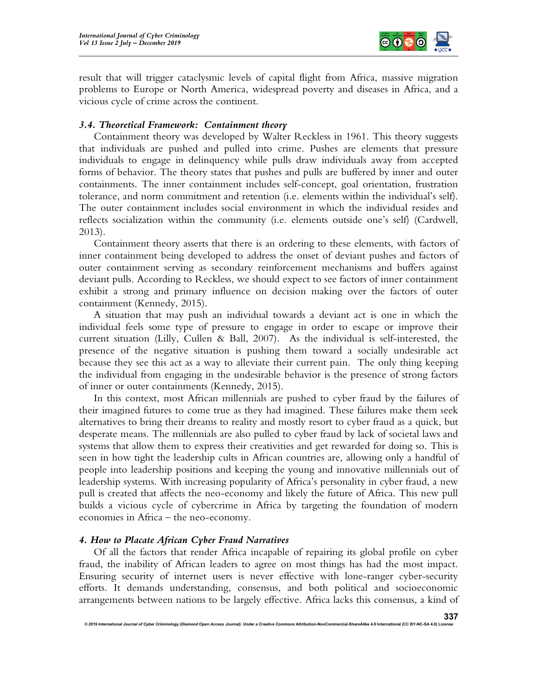

result that will trigger cataclysmic levels of capital flight from Africa, massive migration problems to Europe or North America, widespread poverty and diseases in Africa, and a vicious cycle of crime across the continent.

## 3.4. Theoretical Framework: Containment theory

 Containment theory was developed by Walter Reckless in 1961. This theory suggests that individuals are pushed and pulled into crime. Pushes are elements that pressure individuals to engage in delinquency while pulls draw individuals away from accepted forms of behavior. The theory states that pushes and pulls are buffered by inner and outer containments. The inner containment includes self-concept, goal orientation, frustration tolerance, and norm commitment and retention (i.e. elements within the individual's self). The outer containment includes social environment in which the individual resides and reflects socialization within the community (i.e. elements outside one's self) (Cardwell, 2013).

 Containment theory asserts that there is an ordering to these elements, with factors of inner containment being developed to address the onset of deviant pushes and factors of outer containment serving as secondary reinforcement mechanisms and buffers against deviant pulls. According to Reckless, we should expect to see factors of inner containment exhibit a strong and primary influence on decision making over the factors of outer containment (Kennedy, 2015).

 A situation that may push an individual towards a deviant act is one in which the individual feels some type of pressure to engage in order to escape or improve their current situation (Lilly, Cullen & Ball, 2007). As the individual is self-interested, the presence of the negative situation is pushing them toward a socially undesirable act because they see this act as a way to alleviate their current pain. The only thing keeping the individual from engaging in the undesirable behavior is the presence of strong factors of inner or outer containments (Kennedy, 2015).

 In this context, most African millennials are pushed to cyber fraud by the failures of their imagined futures to come true as they had imagined. These failures make them seek alternatives to bring their dreams to reality and mostly resort to cyber fraud as a quick, but desperate means. The millennials are also pulled to cyber fraud by lack of societal laws and systems that allow them to express their creativities and get rewarded for doing so. This is seen in how tight the leadership cults in African countries are, allowing only a handful of people into leadership positions and keeping the young and innovative millennials out of leadership systems. With increasing popularity of Africa's personality in cyber fraud, a new pull is created that affects the neo-economy and likely the future of Africa. This new pull builds a vicious cycle of cybercrime in Africa by targeting the foundation of modern economies in Africa – the neo-economy.

# 4. How to Placate African Cyber Fraud Narratives

 Of all the factors that render Africa incapable of repairing its global profile on cyber fraud, the inability of African leaders to agree on most things has had the most impact. Ensuring security of internet users is never effective with lone-ranger cyber-security efforts. It demands understanding, consensus, and both political and socioeconomic arrangements between nations to be largely effective. Africa lacks this consensus, a kind of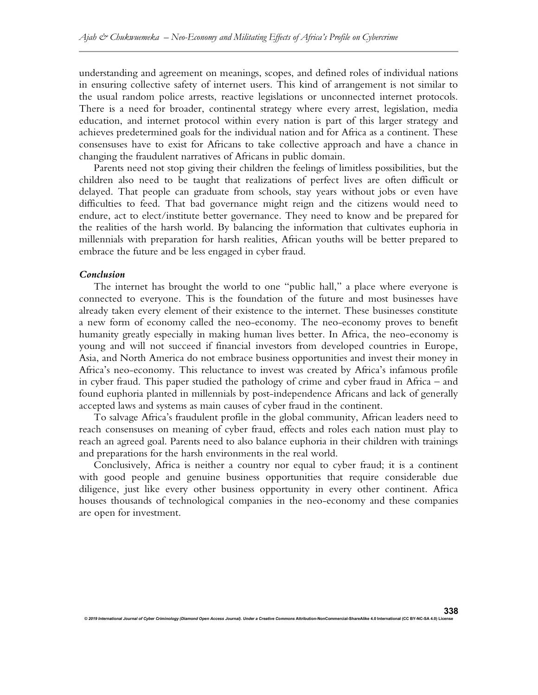understanding and agreement on meanings, scopes, and defined roles of individual nations in ensuring collective safety of internet users. This kind of arrangement is not similar to the usual random police arrests, reactive legislations or unconnected internet protocols. There is a need for broader, continental strategy where every arrest, legislation, media education, and internet protocol within every nation is part of this larger strategy and achieves predetermined goals for the individual nation and for Africa as a continent. These consensuses have to exist for Africans to take collective approach and have a chance in changing the fraudulent narratives of Africans in public domain.

 Parents need not stop giving their children the feelings of limitless possibilities, but the children also need to be taught that realizations of perfect lives are often difficult or delayed. That people can graduate from schools, stay years without jobs or even have difficulties to feed. That bad governance might reign and the citizens would need to endure, act to elect/institute better governance. They need to know and be prepared for the realities of the harsh world. By balancing the information that cultivates euphoria in millennials with preparation for harsh realities, African youths will be better prepared to embrace the future and be less engaged in cyber fraud.

#### Conclusion

 The internet has brought the world to one "public hall," a place where everyone is connected to everyone. This is the foundation of the future and most businesses have already taken every element of their existence to the internet. These businesses constitute a new form of economy called the neo-economy. The neo-economy proves to benefit humanity greatly especially in making human lives better. In Africa, the neo-economy is young and will not succeed if financial investors from developed countries in Europe, Asia, and North America do not embrace business opportunities and invest their money in Africa's neo-economy. This reluctance to invest was created by Africa's infamous profile in cyber fraud. This paper studied the pathology of crime and cyber fraud in Africa – and found euphoria planted in millennials by post-independence Africans and lack of generally accepted laws and systems as main causes of cyber fraud in the continent.

 To salvage Africa's fraudulent profile in the global community, African leaders need to reach consensuses on meaning of cyber fraud, effects and roles each nation must play to reach an agreed goal. Parents need to also balance euphoria in their children with trainings and preparations for the harsh environments in the real world.

 Conclusively, Africa is neither a country nor equal to cyber fraud; it is a continent with good people and genuine business opportunities that require considerable due diligence, just like every other business opportunity in every other continent. Africa houses thousands of technological companies in the neo-economy and these companies are open for investment.

338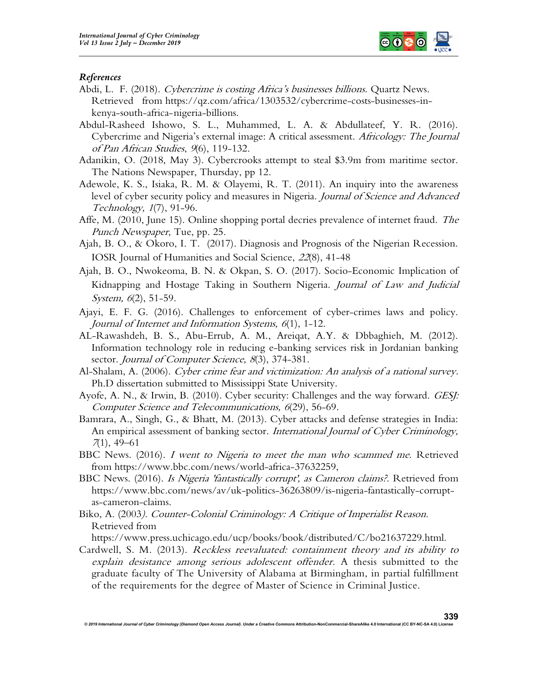

#### References

- Abdi, L. F. (2018). Cybercrime is costing Africa's businesses billions. Quartz News. Retrieved from https://qz.com/africa/1303532/cybercrime-costs-businesses-inkenya-south-africa- nigeria-billions.
- Abdul-Rasheed Ishowo, S. L., Muhammed, L. A. & Abdullateef, Y. R. (2016). Cybercrime and Nigeria's external image: A critical assessment. Africology: The Journal of Pan African Studies, 9(6), 119-132.
- Adanikin, O. (2018, May 3). Cybercrooks attempt to steal \$3.9m from maritime sector. The Nations Newspaper, Thursday, pp 12.
- Adewole, K. S., Isiaka, R. M. & Olayemi, R. T. (2011). An inquiry into the awareness level of cyber security policy and measures in Nigeria. Journal of Science and Advanced Technology, <sup>1</sup>(7), 91-96.
- Affe, M. (2010, June 15). Online shopping portal decries prevalence of internet fraud. The Punch Newspaper, Tue, pp. 25.
- Ajah, B. O., & Okoro, I. T. (2017). Diagnosis and Prognosis of the Nigerian Recession. IOSR Journal of Humanities and Social Science, 22(8), 41-48
- Ajah, B. O., Nwokeoma, B. N. & Okpan, S. O. (2017). Socio-Economic Implication of Kidnapping and Hostage Taking in Southern Nigeria. Journal of Law and Judicial System, 6(2), 51-59.
- Ajayi, E. F. G. (2016). Challenges to enforcement of cyber-crimes laws and policy. Journal of Internet and Information Systems, <sup>6</sup>(1), 1-12.
- AL-Rawashdeh, B. S., Abu-Errub, A. M., Areiqat, A.Y. & Dbbaghieh, M. (2012). Information technology role in reducing e-banking services risk in Jordanian banking sector. Journal of Computer Science, 8(3), 374-381.
- Al-Shalam, A. (2006). Cyber crime fear and victimization: An analysis of a national survey. Ph.D dissertation submitted to Mississippi State University.
- Ayofe, A. N., & Irwin, B. (2010). Cyber security: Challenges and the way forward. GESJ: Computer Science and Telecommunications, <sup>6</sup>(29), 56-69.
- Bamrara, A., Singh, G., & Bhatt, M. (2013). Cyber attacks and defense strategies in India: An empirical assessment of banking sector. *International Journal of Cyber Criminology*, <sup>7</sup>(1), 49–61
- BBC News. (2016). I went to Nigeria to meet the man who scammed me. Retrieved from https://www.bbc.com/news/world-africa-37632259,
- BBC News. (2016). Is Nigeria 'fantastically corrupt', as Cameron claims?. Retrieved from https://www.bbc.com/news/av/uk-politics-36263809/is-nigeria-fantastically-corruptas-cameron-claims.
- Biko, A. (2003). Counter-Colonial Criminology: A Critique of Imperialist Reason. Retrieved from

https://www.press.uchicago.edu/ucp/books/book/distributed/C/bo21637229.html.

Cardwell, S. M. (2013). Reckless reevaluated: containment theory and its ability to explain desistance among serious adolescent offender. A thesis submitted to the graduate faculty of The University of Alabama at Birmingham, in partial fulfillment of the requirements for the degree of Master of Science in Criminal Justice.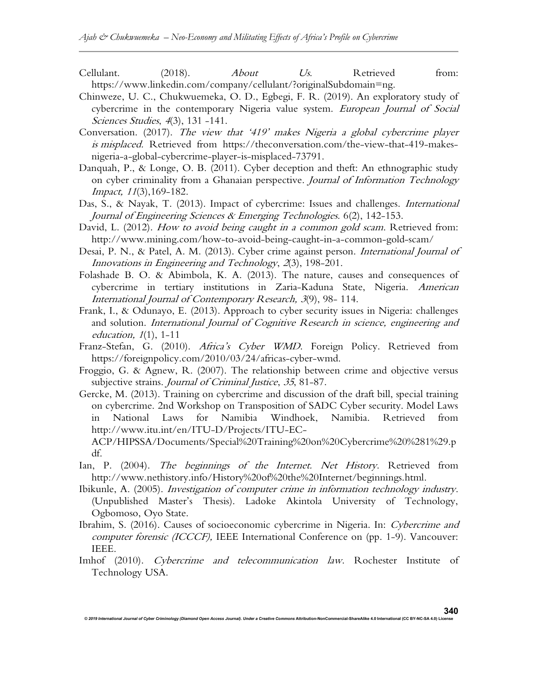Cellulant. (2018). *About Us.* Retrieved from: https://www.linkedin.com/company/cellulant/?originalSubdomain=ng.

- Chinweze, U. C., Chukwuemeka, O. D., Egbegi, F. R. (2019). An exploratory study of cybercrime in the contemporary Nigeria value system. European Journal of Social Sciences Studies, 4(3), 131 -141.
- Conversation. (2017). The view that '419' makes Nigeria a global cybercrime player is misplaced. Retrieved from https://theconversation.com/the-view-that-419-makesnigeria-a-global-cybercrime-player-is-misplaced-73791.
- Danquah, P., & Longe, O. B. (2011). Cyber deception and theft: An ethnographic study on cyber criminality from a Ghanaian perspective. Journal of Information Technology Impact, <sup>11</sup>(3),169-182.
- Das, S., & Nayak, T. (2013). Impact of cybercrime: Issues and challenges. *International* Journal of Engineering Sciences & Emerging Technologies. 6(2), 142-153.
- David, L. (2012). How to avoid being caught in a common gold scam. Retrieved from: http://www.mining.com/how-to-avoid-being-caught-in-a-common-gold-scam/
- Desai, P. N., & Patel, A. M. (2013). Cyber crime against person. International Journal of Innovations in Engineering and Technology, 2(3), 198-201.
- Folashade B. O. & Abimbola, K. A. (2013). The nature, causes and consequences of cybercrime in tertiary institutions in Zaria-Kaduna State, Nigeria. American International Journal of Contemporary Research, <sup>3</sup>(9), 98- 114.
- Frank, I., & Odunayo, E. (2013). Approach to cyber security issues in Nigeria: challenges and solution. International Journal of Cognitive Research in science, engineering and education, <sup>1</sup>(1), 1-11
- Franz-Stefan, G. (2010). Africa's Cyber WMD. Foreign Policy. Retrieved from https://foreignpolicy.com/2010/03/24/africas-cyber-wmd.
- Froggio, G. & Agnew, R. (2007). The relationship between crime and objective versus subjective strains. Journal of Criminal Justice, 35, 81-87.
- Gercke, M. (2013). Training on cybercrime and discussion of the draft bill, special training on cybercrime. 2nd Workshop on Transposition of SADC Cyber security. Model Laws in National Laws for Namibia Windhoek, Namibia. Retrieved from http://www.itu.int/en/ITU-D/Projects/ITU-EC-
- ACP/HIPSSA/Documents/Special%20Training%20on%20Cybercrime%20%281%29.p df.
- Ian, P. (2004). The beginnings of the Internet. Net History. Retrieved from http://www.nethistory.info/History%20of%20the%20Internet/beginnings.html.
- Ibikunle, A. (2005). Investigation of computer crime in information technology industry. (Unpublished Master's Thesis). Ladoke Akintola University of Technology, Ogbomoso, Oyo State.
- Ibrahim, S. (2016). Causes of socioeconomic cybercrime in Nigeria. In: Cybercrime and computer forensic (ICCCF), IEEE International Conference on (pp. 1-9). Vancouver: IEEE.
- Imhof (2010). Cybercrime and telecommunication law. Rochester Institute of Technology USA.

© 2019 International Journal of Cyber Criminology (Diamond Open Access Journal). Under a Creative Commons Attribution-NonCommercial-ShareAlike 4.0 International (CC BY-NC-SA 4.0)

340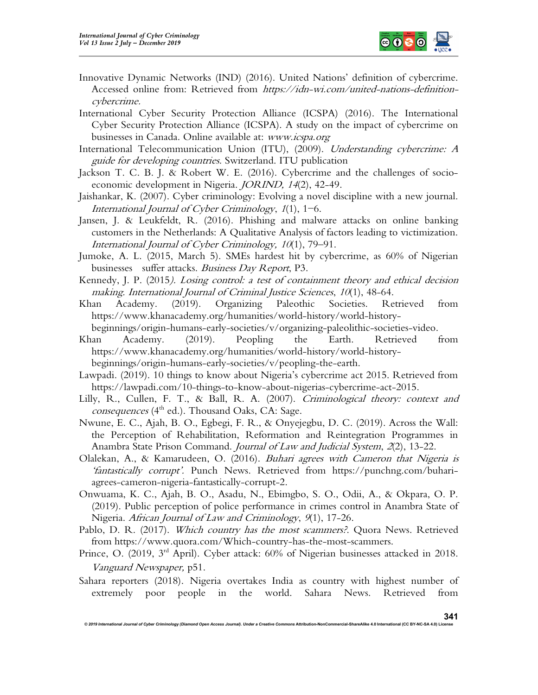

- Innovative Dynamic Networks (IND) (2016). United Nations' definition of cybercrime. Accessed online from: Retrieved from https://idn-wi.com/united-nations-definitioncybercrime.
- International Cyber Security Protection Alliance (ICSPA) (2016). The International Cyber Security Protection Alliance (ICSPA). A study on the impact of cybercrime on businesses in Canada. Online available at: www.icspa.org
- International Telecommunication Union (ITU), (2009). Understanding cybercrime: A guide for developing countries. Switzerland. ITU publication
- Jackson T. C. B. J. & Robert W. E. (2016). Cybercrime and the challenges of socioeconomic development in Nigeria. JORIND, <sup>14</sup>(2), 42-49.
- Jaishankar, K. (2007). Cyber criminology: Evolving a novel discipline with a new journal. International Journal of Cyber Criminology, 1(1), 1−6.
- Jansen, J. & Leukfeldt, R. (2016). Phishing and malware attacks on online banking customers in the Netherlands: A Qualitative Analysis of factors leading to victimization. International Journal of Cyber Criminology, <sup>10</sup>(1), 79–91.
- Jumoke, A. L. (2015, March 5). SMEs hardest hit by cybercrime, as 60% of Nigerian businesses suffer attacks. Business Day Report, P3.
- Kennedy, J. P. (2015). Losing control: a test of containment theory and ethical decision making. International Journal of Criminal Justice Sciences, 10(1), 48-64.
- Khan Academy. (2019). Organizing Paleothic Societies. Retrieved from https://www.khanacademy.org/humanities/world-history/world-history-

beginnings/origin-humans-early-societies/v/organizing-paleolithic-societies-video.

- Khan Academy. (2019). Peopling the Earth. Retrieved from https://www.khanacademy.org/humanities/world-history/world-historybeginnings/origin-humans-early-societies/v/peopling-the-earth.
- Lawpadi. (2019). 10 things to know about Nigeria's cybercrime act 2015. Retrieved from https://lawpadi.com/10-things-to-know-about-nigerias-cybercrime-act-2015.
- Lilly, R., Cullen, F. T., & Ball, R. A. (2007). Criminological theory: context and  $consequences$  ( $4<sup>th</sup>$  ed.). Thousand Oaks, CA: Sage.
- Nwune, E. C., Ajah, B. O., Egbegi, F. R., & Onyejegbu, D. C. (2019). Across the Wall: the Perception of Rehabilitation, Reformation and Reintegration Programmes in Anambra State Prison Command. Journal of Law and Judicial System, 2(2), 13-22.
- Olalekan, A., & Kamarudeen, O. (2016). Buhari agrees with Cameron that Nigeria is 'fantastically corrupt'. Punch News. Retrieved from https://punchng.com/buhariagrees-cameron-nigeria-fantastically-corrupt-2.
- Onwuama, K. C., Ajah, B. O., Asadu, N., Ebimgbo, S. O., Odii, A., & Okpara, O. P. (2019). Public perception of police performance in crimes control in Anambra State of Nigeria. African Journal of Law and Criminology, 9(1), 17-26.
- Pablo, D. R. (2017). Which country has the most scammers? Quora News. Retrieved from https://www.quora.com/Which-country-has-the-most-scammers.
- Prince, O. (2019, 3<sup>rd</sup> April). Cyber attack: 60% of Nigerian businesses attacked in 2018. Vanguard Newspaper, p51.
- Sahara reporters (2018). Nigeria overtakes India as country with highest number of extremely poor people in the world. Sahara News. Retrieved from